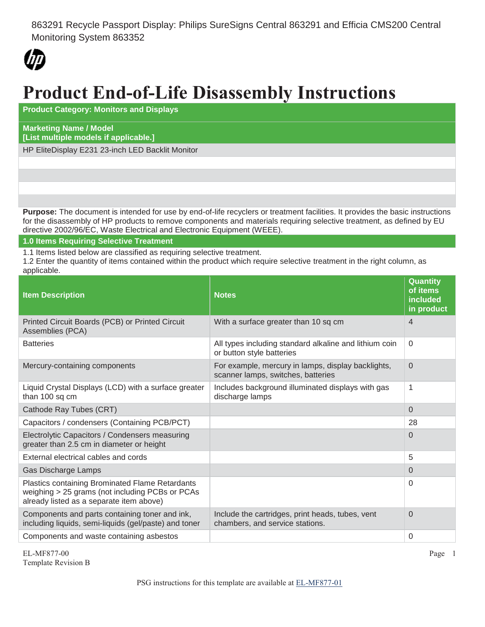863291 Recycle Passport Display: Philips SureSigns Central 863291 and Efficia CMS200 Central Monitoring System 863352



## **Product End-of-Life Disassembly Instructions**

**Product Category: Monitors and Displays**

## **Marketing Name / Model [List multiple models if applicable.]**

HP EliteDisplay E231 23-inch LED Backlit Monitor

**Purpose:** The document is intended for use by end-of-life recyclers or treatment facilities. It provides the basic instructions for the disassembly of HP products to remove components and materials requiring selective treatment, as defined by EU directive 2002/96/EC, Waste Electrical and Electronic Equipment (WEEE).

## **1.0 Items Requiring Selective Treatment**

1.1 Items listed below are classified as requiring selective treatment.

1.2 Enter the quantity of items contained within the product which require selective treatment in the right column, as applicable.

| <b>Item Description</b>                                                                                                                               | <b>Notes</b>                                                                             | <b>Quantity</b><br>of items<br>included<br>in product |
|-------------------------------------------------------------------------------------------------------------------------------------------------------|------------------------------------------------------------------------------------------|-------------------------------------------------------|
| Printed Circuit Boards (PCB) or Printed Circuit<br>Assemblies (PCA)                                                                                   | With a surface greater than 10 sq cm                                                     | 4                                                     |
| <b>Batteries</b>                                                                                                                                      | All types including standard alkaline and lithium coin<br>or button style batteries      | $\Omega$                                              |
| Mercury-containing components                                                                                                                         | For example, mercury in lamps, display backlights,<br>scanner lamps, switches, batteries | $\overline{0}$                                        |
| Liquid Crystal Displays (LCD) with a surface greater<br>than 100 sq cm                                                                                | Includes background illuminated displays with gas<br>discharge lamps                     | 1                                                     |
| Cathode Ray Tubes (CRT)                                                                                                                               |                                                                                          | 0                                                     |
| Capacitors / condensers (Containing PCB/PCT)                                                                                                          |                                                                                          | 28                                                    |
| Electrolytic Capacitors / Condensers measuring<br>greater than 2.5 cm in diameter or height                                                           |                                                                                          | 0                                                     |
| External electrical cables and cords                                                                                                                  |                                                                                          | 5                                                     |
| Gas Discharge Lamps                                                                                                                                   |                                                                                          | 0                                                     |
| <b>Plastics containing Brominated Flame Retardants</b><br>weighing > 25 grams (not including PCBs or PCAs<br>already listed as a separate item above) |                                                                                          | 0                                                     |
| Components and parts containing toner and ink,<br>including liquids, semi-liquids (gel/paste) and toner                                               | Include the cartridges, print heads, tubes, vent<br>chambers, and service stations.      | $\Omega$                                              |
| Components and waste containing asbestos                                                                                                              |                                                                                          | 0                                                     |